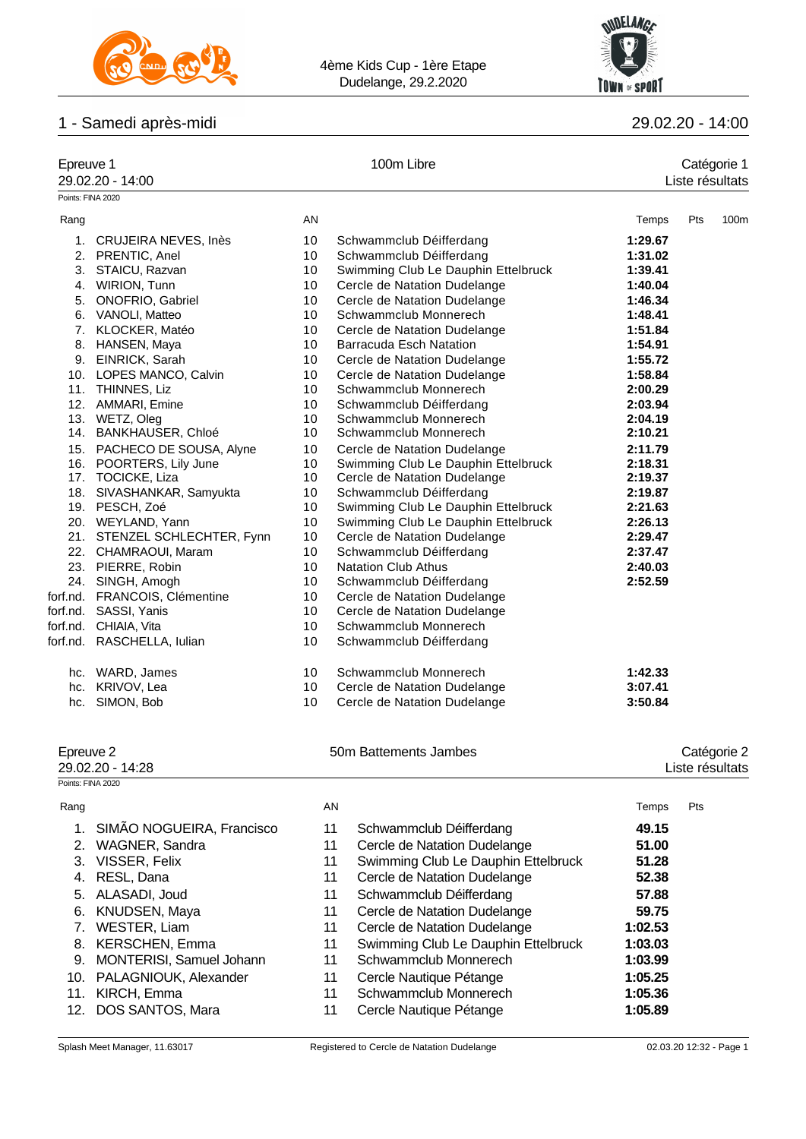



# 1 - Samedi après-midi 29.02.20 - 14:00

| Points: FINA 2020<br>AN<br>Pts<br>100m<br>Rang<br>Temps<br>10<br>1. CRUJEIRA NEVES, Inès<br>Schwammclub Déifferdang<br>1:29.67<br>2. PRENTIC, Anel<br>10<br>Schwammclub Déifferdang<br>1:31.02<br>3. STAICU, Razvan<br>10<br>Swimming Club Le Dauphin Ettelbruck<br>1:39.41<br>4. WIRION, Tunn<br>10<br>Cercle de Natation Dudelange<br>1:40.04<br>5. ONOFRIO, Gabriel<br>10<br>Cercle de Natation Dudelange<br>1:46.34<br>6. VANOLI, Matteo<br>10<br>Schwammclub Monnerech<br>1:48.41<br>7. KLOCKER, Matéo<br>10<br>Cercle de Natation Dudelange<br>1:51.84<br>8. HANSEN, Maya<br>10<br>1:54.91<br><b>Barracuda Esch Natation</b><br>9. EINRICK, Sarah<br>1:55.72<br>10<br>Cercle de Natation Dudelange<br>10. LOPES MANCO, Calvin<br>10<br>Cercle de Natation Dudelange<br>1:58.84<br>11. THINNES, Liz<br>10<br>Schwammclub Monnerech<br>2:00.29<br>12. AMMARI, Emine<br>10<br>Schwammclub Déifferdang<br>2:03.94<br>13. WETZ, Oleg<br>10<br>Schwammclub Monnerech<br>2:04.19<br>14. BANKHAUSER, Chloé<br>10<br>Schwammclub Monnerech<br>2:10.21<br>15. PACHECO DE SOUSA, Alyne<br>Cercle de Natation Dudelange<br>2:11.79<br>10<br>16. POORTERS, Lily June<br>10<br>Swimming Club Le Dauphin Ettelbruck<br>2:18.31<br>17. TOCICKE, Liza<br>10<br>Cercle de Natation Dudelange<br>2:19.37<br>10<br>18. SIVASHANKAR, Samyukta<br>Schwammclub Déifferdang<br>2:19.87<br>19. PESCH, Zoé<br>10<br>Swimming Club Le Dauphin Ettelbruck<br>2:21.63<br>10<br>Swimming Club Le Dauphin Ettelbruck<br>20. WEYLAND, Yann<br>2:26.13<br>21. STENZEL SCHLECHTER, Fynn<br>10<br>Cercle de Natation Dudelange<br>2:29.47<br>10<br>Schwammclub Déifferdang<br>22. CHAMRAOUI, Maram<br>2:37.47<br>23. PIERRE, Robin<br>10<br><b>Natation Club Athus</b><br>2:40.03<br>24. SINGH, Amogh<br>10<br>Schwammclub Déifferdang<br>2:52.59<br>forf.nd. FRANCOIS, Clémentine<br>10<br>Cercle de Natation Dudelange<br>forf.nd. SASSI, Yanis<br>Cercle de Natation Dudelange<br>10<br>CHIAIA, Vita<br>10<br>Schwammclub Monnerech<br>forf.nd.<br>forf.nd. RASCHELLA, lulian<br>10<br>Schwammclub Déifferdang<br>hc. WARD, James<br>10<br>Schwammclub Monnerech<br>1:42.33<br>hc. KRIVOV, Lea<br>10<br>Cercle de Natation Dudelange<br>3:07.41<br>hc. SIMON, Bob<br>10<br>3:50.84<br>Cercle de Natation Dudelange<br>50m Battements Jambes<br>Epreuve 2<br>Catégorie 2<br>29.02.20 - 14:28<br>Liste résultats<br>Points: FINA 2020<br>AN<br>Rang<br>Pts<br>Temps<br>SIMÃO NOGUEIRA, Francisco<br>11<br>1.<br>Schwammclub Déifferdang<br>49.15<br>WAGNER, Sandra<br>11<br>Cercle de Natation Dudelange<br>51.00<br>2.<br>VISSER, Felix<br>11<br>Swimming Club Le Dauphin Ettelbruck<br>51.28<br>3.<br>RESL, Dana<br>11<br>52.38<br>Cercle de Natation Dudelange<br>4.<br>ALASADI, Joud<br>11<br>Schwammclub Déifferdang<br>57.88<br>5.<br>KNUDSEN, Maya<br>11<br>Cercle de Natation Dudelange<br>59.75<br>6.<br>WESTER, Liam<br>11<br>Cercle de Natation Dudelange<br>1:02.53<br>7.<br>KERSCHEN, Emma<br>11<br>Swimming Club Le Dauphin Ettelbruck<br>1:03.03<br>8.<br>MONTERISI, Samuel Johann<br>11<br>Schwammclub Monnerech<br>1:03.99<br>9.<br>11<br>Cercle Nautique Pétange<br>10. PALAGNIOUK, Alexander<br>1:05.25<br>11. KIRCH, Emma<br>11 | Epreuve 1 | 29.02.20 - 14:00 | 100m Libre            | Catégorie 1<br>Liste résultats |  |  |
|-------------------------------------------------------------------------------------------------------------------------------------------------------------------------------------------------------------------------------------------------------------------------------------------------------------------------------------------------------------------------------------------------------------------------------------------------------------------------------------------------------------------------------------------------------------------------------------------------------------------------------------------------------------------------------------------------------------------------------------------------------------------------------------------------------------------------------------------------------------------------------------------------------------------------------------------------------------------------------------------------------------------------------------------------------------------------------------------------------------------------------------------------------------------------------------------------------------------------------------------------------------------------------------------------------------------------------------------------------------------------------------------------------------------------------------------------------------------------------------------------------------------------------------------------------------------------------------------------------------------------------------------------------------------------------------------------------------------------------------------------------------------------------------------------------------------------------------------------------------------------------------------------------------------------------------------------------------------------------------------------------------------------------------------------------------------------------------------------------------------------------------------------------------------------------------------------------------------------------------------------------------------------------------------------------------------------------------------------------------------------------------------------------------------------------------------------------------------------------------------------------------------------------------------------------------------------------------------------------------------------------------------------------------------------------------------------------------------------------------------------------------------------------------------------------------------------------------------------------------------------------------------------------------------------------------------------------------------------------------------------------------------------------------------------------------------------------------------------------------------------------------------------------------------------------------------------------------------------|-----------|------------------|-----------------------|--------------------------------|--|--|
|                                                                                                                                                                                                                                                                                                                                                                                                                                                                                                                                                                                                                                                                                                                                                                                                                                                                                                                                                                                                                                                                                                                                                                                                                                                                                                                                                                                                                                                                                                                                                                                                                                                                                                                                                                                                                                                                                                                                                                                                                                                                                                                                                                                                                                                                                                                                                                                                                                                                                                                                                                                                                                                                                                                                                                                                                                                                                                                                                                                                                                                                                                                                                                                                                         |           |                  |                       |                                |  |  |
|                                                                                                                                                                                                                                                                                                                                                                                                                                                                                                                                                                                                                                                                                                                                                                                                                                                                                                                                                                                                                                                                                                                                                                                                                                                                                                                                                                                                                                                                                                                                                                                                                                                                                                                                                                                                                                                                                                                                                                                                                                                                                                                                                                                                                                                                                                                                                                                                                                                                                                                                                                                                                                                                                                                                                                                                                                                                                                                                                                                                                                                                                                                                                                                                                         |           |                  |                       |                                |  |  |
|                                                                                                                                                                                                                                                                                                                                                                                                                                                                                                                                                                                                                                                                                                                                                                                                                                                                                                                                                                                                                                                                                                                                                                                                                                                                                                                                                                                                                                                                                                                                                                                                                                                                                                                                                                                                                                                                                                                                                                                                                                                                                                                                                                                                                                                                                                                                                                                                                                                                                                                                                                                                                                                                                                                                                                                                                                                                                                                                                                                                                                                                                                                                                                                                                         |           |                  |                       |                                |  |  |
|                                                                                                                                                                                                                                                                                                                                                                                                                                                                                                                                                                                                                                                                                                                                                                                                                                                                                                                                                                                                                                                                                                                                                                                                                                                                                                                                                                                                                                                                                                                                                                                                                                                                                                                                                                                                                                                                                                                                                                                                                                                                                                                                                                                                                                                                                                                                                                                                                                                                                                                                                                                                                                                                                                                                                                                                                                                                                                                                                                                                                                                                                                                                                                                                                         |           |                  |                       |                                |  |  |
|                                                                                                                                                                                                                                                                                                                                                                                                                                                                                                                                                                                                                                                                                                                                                                                                                                                                                                                                                                                                                                                                                                                                                                                                                                                                                                                                                                                                                                                                                                                                                                                                                                                                                                                                                                                                                                                                                                                                                                                                                                                                                                                                                                                                                                                                                                                                                                                                                                                                                                                                                                                                                                                                                                                                                                                                                                                                                                                                                                                                                                                                                                                                                                                                                         |           |                  |                       |                                |  |  |
|                                                                                                                                                                                                                                                                                                                                                                                                                                                                                                                                                                                                                                                                                                                                                                                                                                                                                                                                                                                                                                                                                                                                                                                                                                                                                                                                                                                                                                                                                                                                                                                                                                                                                                                                                                                                                                                                                                                                                                                                                                                                                                                                                                                                                                                                                                                                                                                                                                                                                                                                                                                                                                                                                                                                                                                                                                                                                                                                                                                                                                                                                                                                                                                                                         |           |                  |                       |                                |  |  |
|                                                                                                                                                                                                                                                                                                                                                                                                                                                                                                                                                                                                                                                                                                                                                                                                                                                                                                                                                                                                                                                                                                                                                                                                                                                                                                                                                                                                                                                                                                                                                                                                                                                                                                                                                                                                                                                                                                                                                                                                                                                                                                                                                                                                                                                                                                                                                                                                                                                                                                                                                                                                                                                                                                                                                                                                                                                                                                                                                                                                                                                                                                                                                                                                                         |           |                  |                       |                                |  |  |
|                                                                                                                                                                                                                                                                                                                                                                                                                                                                                                                                                                                                                                                                                                                                                                                                                                                                                                                                                                                                                                                                                                                                                                                                                                                                                                                                                                                                                                                                                                                                                                                                                                                                                                                                                                                                                                                                                                                                                                                                                                                                                                                                                                                                                                                                                                                                                                                                                                                                                                                                                                                                                                                                                                                                                                                                                                                                                                                                                                                                                                                                                                                                                                                                                         |           |                  |                       |                                |  |  |
|                                                                                                                                                                                                                                                                                                                                                                                                                                                                                                                                                                                                                                                                                                                                                                                                                                                                                                                                                                                                                                                                                                                                                                                                                                                                                                                                                                                                                                                                                                                                                                                                                                                                                                                                                                                                                                                                                                                                                                                                                                                                                                                                                                                                                                                                                                                                                                                                                                                                                                                                                                                                                                                                                                                                                                                                                                                                                                                                                                                                                                                                                                                                                                                                                         |           |                  |                       |                                |  |  |
|                                                                                                                                                                                                                                                                                                                                                                                                                                                                                                                                                                                                                                                                                                                                                                                                                                                                                                                                                                                                                                                                                                                                                                                                                                                                                                                                                                                                                                                                                                                                                                                                                                                                                                                                                                                                                                                                                                                                                                                                                                                                                                                                                                                                                                                                                                                                                                                                                                                                                                                                                                                                                                                                                                                                                                                                                                                                                                                                                                                                                                                                                                                                                                                                                         |           |                  |                       |                                |  |  |
|                                                                                                                                                                                                                                                                                                                                                                                                                                                                                                                                                                                                                                                                                                                                                                                                                                                                                                                                                                                                                                                                                                                                                                                                                                                                                                                                                                                                                                                                                                                                                                                                                                                                                                                                                                                                                                                                                                                                                                                                                                                                                                                                                                                                                                                                                                                                                                                                                                                                                                                                                                                                                                                                                                                                                                                                                                                                                                                                                                                                                                                                                                                                                                                                                         |           |                  |                       |                                |  |  |
|                                                                                                                                                                                                                                                                                                                                                                                                                                                                                                                                                                                                                                                                                                                                                                                                                                                                                                                                                                                                                                                                                                                                                                                                                                                                                                                                                                                                                                                                                                                                                                                                                                                                                                                                                                                                                                                                                                                                                                                                                                                                                                                                                                                                                                                                                                                                                                                                                                                                                                                                                                                                                                                                                                                                                                                                                                                                                                                                                                                                                                                                                                                                                                                                                         |           |                  |                       |                                |  |  |
|                                                                                                                                                                                                                                                                                                                                                                                                                                                                                                                                                                                                                                                                                                                                                                                                                                                                                                                                                                                                                                                                                                                                                                                                                                                                                                                                                                                                                                                                                                                                                                                                                                                                                                                                                                                                                                                                                                                                                                                                                                                                                                                                                                                                                                                                                                                                                                                                                                                                                                                                                                                                                                                                                                                                                                                                                                                                                                                                                                                                                                                                                                                                                                                                                         |           |                  |                       |                                |  |  |
|                                                                                                                                                                                                                                                                                                                                                                                                                                                                                                                                                                                                                                                                                                                                                                                                                                                                                                                                                                                                                                                                                                                                                                                                                                                                                                                                                                                                                                                                                                                                                                                                                                                                                                                                                                                                                                                                                                                                                                                                                                                                                                                                                                                                                                                                                                                                                                                                                                                                                                                                                                                                                                                                                                                                                                                                                                                                                                                                                                                                                                                                                                                                                                                                                         |           |                  |                       |                                |  |  |
|                                                                                                                                                                                                                                                                                                                                                                                                                                                                                                                                                                                                                                                                                                                                                                                                                                                                                                                                                                                                                                                                                                                                                                                                                                                                                                                                                                                                                                                                                                                                                                                                                                                                                                                                                                                                                                                                                                                                                                                                                                                                                                                                                                                                                                                                                                                                                                                                                                                                                                                                                                                                                                                                                                                                                                                                                                                                                                                                                                                                                                                                                                                                                                                                                         |           |                  |                       |                                |  |  |
|                                                                                                                                                                                                                                                                                                                                                                                                                                                                                                                                                                                                                                                                                                                                                                                                                                                                                                                                                                                                                                                                                                                                                                                                                                                                                                                                                                                                                                                                                                                                                                                                                                                                                                                                                                                                                                                                                                                                                                                                                                                                                                                                                                                                                                                                                                                                                                                                                                                                                                                                                                                                                                                                                                                                                                                                                                                                                                                                                                                                                                                                                                                                                                                                                         |           |                  |                       |                                |  |  |
|                                                                                                                                                                                                                                                                                                                                                                                                                                                                                                                                                                                                                                                                                                                                                                                                                                                                                                                                                                                                                                                                                                                                                                                                                                                                                                                                                                                                                                                                                                                                                                                                                                                                                                                                                                                                                                                                                                                                                                                                                                                                                                                                                                                                                                                                                                                                                                                                                                                                                                                                                                                                                                                                                                                                                                                                                                                                                                                                                                                                                                                                                                                                                                                                                         |           |                  |                       |                                |  |  |
|                                                                                                                                                                                                                                                                                                                                                                                                                                                                                                                                                                                                                                                                                                                                                                                                                                                                                                                                                                                                                                                                                                                                                                                                                                                                                                                                                                                                                                                                                                                                                                                                                                                                                                                                                                                                                                                                                                                                                                                                                                                                                                                                                                                                                                                                                                                                                                                                                                                                                                                                                                                                                                                                                                                                                                                                                                                                                                                                                                                                                                                                                                                                                                                                                         |           |                  |                       |                                |  |  |
|                                                                                                                                                                                                                                                                                                                                                                                                                                                                                                                                                                                                                                                                                                                                                                                                                                                                                                                                                                                                                                                                                                                                                                                                                                                                                                                                                                                                                                                                                                                                                                                                                                                                                                                                                                                                                                                                                                                                                                                                                                                                                                                                                                                                                                                                                                                                                                                                                                                                                                                                                                                                                                                                                                                                                                                                                                                                                                                                                                                                                                                                                                                                                                                                                         |           |                  |                       |                                |  |  |
|                                                                                                                                                                                                                                                                                                                                                                                                                                                                                                                                                                                                                                                                                                                                                                                                                                                                                                                                                                                                                                                                                                                                                                                                                                                                                                                                                                                                                                                                                                                                                                                                                                                                                                                                                                                                                                                                                                                                                                                                                                                                                                                                                                                                                                                                                                                                                                                                                                                                                                                                                                                                                                                                                                                                                                                                                                                                                                                                                                                                                                                                                                                                                                                                                         |           |                  |                       |                                |  |  |
|                                                                                                                                                                                                                                                                                                                                                                                                                                                                                                                                                                                                                                                                                                                                                                                                                                                                                                                                                                                                                                                                                                                                                                                                                                                                                                                                                                                                                                                                                                                                                                                                                                                                                                                                                                                                                                                                                                                                                                                                                                                                                                                                                                                                                                                                                                                                                                                                                                                                                                                                                                                                                                                                                                                                                                                                                                                                                                                                                                                                                                                                                                                                                                                                                         |           |                  |                       |                                |  |  |
|                                                                                                                                                                                                                                                                                                                                                                                                                                                                                                                                                                                                                                                                                                                                                                                                                                                                                                                                                                                                                                                                                                                                                                                                                                                                                                                                                                                                                                                                                                                                                                                                                                                                                                                                                                                                                                                                                                                                                                                                                                                                                                                                                                                                                                                                                                                                                                                                                                                                                                                                                                                                                                                                                                                                                                                                                                                                                                                                                                                                                                                                                                                                                                                                                         |           |                  |                       |                                |  |  |
|                                                                                                                                                                                                                                                                                                                                                                                                                                                                                                                                                                                                                                                                                                                                                                                                                                                                                                                                                                                                                                                                                                                                                                                                                                                                                                                                                                                                                                                                                                                                                                                                                                                                                                                                                                                                                                                                                                                                                                                                                                                                                                                                                                                                                                                                                                                                                                                                                                                                                                                                                                                                                                                                                                                                                                                                                                                                                                                                                                                                                                                                                                                                                                                                                         |           |                  |                       |                                |  |  |
|                                                                                                                                                                                                                                                                                                                                                                                                                                                                                                                                                                                                                                                                                                                                                                                                                                                                                                                                                                                                                                                                                                                                                                                                                                                                                                                                                                                                                                                                                                                                                                                                                                                                                                                                                                                                                                                                                                                                                                                                                                                                                                                                                                                                                                                                                                                                                                                                                                                                                                                                                                                                                                                                                                                                                                                                                                                                                                                                                                                                                                                                                                                                                                                                                         |           |                  |                       |                                |  |  |
|                                                                                                                                                                                                                                                                                                                                                                                                                                                                                                                                                                                                                                                                                                                                                                                                                                                                                                                                                                                                                                                                                                                                                                                                                                                                                                                                                                                                                                                                                                                                                                                                                                                                                                                                                                                                                                                                                                                                                                                                                                                                                                                                                                                                                                                                                                                                                                                                                                                                                                                                                                                                                                                                                                                                                                                                                                                                                                                                                                                                                                                                                                                                                                                                                         |           |                  |                       |                                |  |  |
|                                                                                                                                                                                                                                                                                                                                                                                                                                                                                                                                                                                                                                                                                                                                                                                                                                                                                                                                                                                                                                                                                                                                                                                                                                                                                                                                                                                                                                                                                                                                                                                                                                                                                                                                                                                                                                                                                                                                                                                                                                                                                                                                                                                                                                                                                                                                                                                                                                                                                                                                                                                                                                                                                                                                                                                                                                                                                                                                                                                                                                                                                                                                                                                                                         |           |                  |                       |                                |  |  |
|                                                                                                                                                                                                                                                                                                                                                                                                                                                                                                                                                                                                                                                                                                                                                                                                                                                                                                                                                                                                                                                                                                                                                                                                                                                                                                                                                                                                                                                                                                                                                                                                                                                                                                                                                                                                                                                                                                                                                                                                                                                                                                                                                                                                                                                                                                                                                                                                                                                                                                                                                                                                                                                                                                                                                                                                                                                                                                                                                                                                                                                                                                                                                                                                                         |           |                  |                       |                                |  |  |
|                                                                                                                                                                                                                                                                                                                                                                                                                                                                                                                                                                                                                                                                                                                                                                                                                                                                                                                                                                                                                                                                                                                                                                                                                                                                                                                                                                                                                                                                                                                                                                                                                                                                                                                                                                                                                                                                                                                                                                                                                                                                                                                                                                                                                                                                                                                                                                                                                                                                                                                                                                                                                                                                                                                                                                                                                                                                                                                                                                                                                                                                                                                                                                                                                         |           |                  |                       |                                |  |  |
|                                                                                                                                                                                                                                                                                                                                                                                                                                                                                                                                                                                                                                                                                                                                                                                                                                                                                                                                                                                                                                                                                                                                                                                                                                                                                                                                                                                                                                                                                                                                                                                                                                                                                                                                                                                                                                                                                                                                                                                                                                                                                                                                                                                                                                                                                                                                                                                                                                                                                                                                                                                                                                                                                                                                                                                                                                                                                                                                                                                                                                                                                                                                                                                                                         |           |                  |                       |                                |  |  |
|                                                                                                                                                                                                                                                                                                                                                                                                                                                                                                                                                                                                                                                                                                                                                                                                                                                                                                                                                                                                                                                                                                                                                                                                                                                                                                                                                                                                                                                                                                                                                                                                                                                                                                                                                                                                                                                                                                                                                                                                                                                                                                                                                                                                                                                                                                                                                                                                                                                                                                                                                                                                                                                                                                                                                                                                                                                                                                                                                                                                                                                                                                                                                                                                                         |           |                  |                       |                                |  |  |
|                                                                                                                                                                                                                                                                                                                                                                                                                                                                                                                                                                                                                                                                                                                                                                                                                                                                                                                                                                                                                                                                                                                                                                                                                                                                                                                                                                                                                                                                                                                                                                                                                                                                                                                                                                                                                                                                                                                                                                                                                                                                                                                                                                                                                                                                                                                                                                                                                                                                                                                                                                                                                                                                                                                                                                                                                                                                                                                                                                                                                                                                                                                                                                                                                         |           |                  |                       |                                |  |  |
|                                                                                                                                                                                                                                                                                                                                                                                                                                                                                                                                                                                                                                                                                                                                                                                                                                                                                                                                                                                                                                                                                                                                                                                                                                                                                                                                                                                                                                                                                                                                                                                                                                                                                                                                                                                                                                                                                                                                                                                                                                                                                                                                                                                                                                                                                                                                                                                                                                                                                                                                                                                                                                                                                                                                                                                                                                                                                                                                                                                                                                                                                                                                                                                                                         |           |                  |                       |                                |  |  |
|                                                                                                                                                                                                                                                                                                                                                                                                                                                                                                                                                                                                                                                                                                                                                                                                                                                                                                                                                                                                                                                                                                                                                                                                                                                                                                                                                                                                                                                                                                                                                                                                                                                                                                                                                                                                                                                                                                                                                                                                                                                                                                                                                                                                                                                                                                                                                                                                                                                                                                                                                                                                                                                                                                                                                                                                                                                                                                                                                                                                                                                                                                                                                                                                                         |           |                  |                       |                                |  |  |
|                                                                                                                                                                                                                                                                                                                                                                                                                                                                                                                                                                                                                                                                                                                                                                                                                                                                                                                                                                                                                                                                                                                                                                                                                                                                                                                                                                                                                                                                                                                                                                                                                                                                                                                                                                                                                                                                                                                                                                                                                                                                                                                                                                                                                                                                                                                                                                                                                                                                                                                                                                                                                                                                                                                                                                                                                                                                                                                                                                                                                                                                                                                                                                                                                         |           |                  |                       |                                |  |  |
|                                                                                                                                                                                                                                                                                                                                                                                                                                                                                                                                                                                                                                                                                                                                                                                                                                                                                                                                                                                                                                                                                                                                                                                                                                                                                                                                                                                                                                                                                                                                                                                                                                                                                                                                                                                                                                                                                                                                                                                                                                                                                                                                                                                                                                                                                                                                                                                                                                                                                                                                                                                                                                                                                                                                                                                                                                                                                                                                                                                                                                                                                                                                                                                                                         |           |                  |                       |                                |  |  |
|                                                                                                                                                                                                                                                                                                                                                                                                                                                                                                                                                                                                                                                                                                                                                                                                                                                                                                                                                                                                                                                                                                                                                                                                                                                                                                                                                                                                                                                                                                                                                                                                                                                                                                                                                                                                                                                                                                                                                                                                                                                                                                                                                                                                                                                                                                                                                                                                                                                                                                                                                                                                                                                                                                                                                                                                                                                                                                                                                                                                                                                                                                                                                                                                                         |           |                  |                       |                                |  |  |
|                                                                                                                                                                                                                                                                                                                                                                                                                                                                                                                                                                                                                                                                                                                                                                                                                                                                                                                                                                                                                                                                                                                                                                                                                                                                                                                                                                                                                                                                                                                                                                                                                                                                                                                                                                                                                                                                                                                                                                                                                                                                                                                                                                                                                                                                                                                                                                                                                                                                                                                                                                                                                                                                                                                                                                                                                                                                                                                                                                                                                                                                                                                                                                                                                         |           |                  |                       |                                |  |  |
|                                                                                                                                                                                                                                                                                                                                                                                                                                                                                                                                                                                                                                                                                                                                                                                                                                                                                                                                                                                                                                                                                                                                                                                                                                                                                                                                                                                                                                                                                                                                                                                                                                                                                                                                                                                                                                                                                                                                                                                                                                                                                                                                                                                                                                                                                                                                                                                                                                                                                                                                                                                                                                                                                                                                                                                                                                                                                                                                                                                                                                                                                                                                                                                                                         |           |                  |                       |                                |  |  |
|                                                                                                                                                                                                                                                                                                                                                                                                                                                                                                                                                                                                                                                                                                                                                                                                                                                                                                                                                                                                                                                                                                                                                                                                                                                                                                                                                                                                                                                                                                                                                                                                                                                                                                                                                                                                                                                                                                                                                                                                                                                                                                                                                                                                                                                                                                                                                                                                                                                                                                                                                                                                                                                                                                                                                                                                                                                                                                                                                                                                                                                                                                                                                                                                                         |           |                  |                       |                                |  |  |
|                                                                                                                                                                                                                                                                                                                                                                                                                                                                                                                                                                                                                                                                                                                                                                                                                                                                                                                                                                                                                                                                                                                                                                                                                                                                                                                                                                                                                                                                                                                                                                                                                                                                                                                                                                                                                                                                                                                                                                                                                                                                                                                                                                                                                                                                                                                                                                                                                                                                                                                                                                                                                                                                                                                                                                                                                                                                                                                                                                                                                                                                                                                                                                                                                         |           |                  |                       |                                |  |  |
|                                                                                                                                                                                                                                                                                                                                                                                                                                                                                                                                                                                                                                                                                                                                                                                                                                                                                                                                                                                                                                                                                                                                                                                                                                                                                                                                                                                                                                                                                                                                                                                                                                                                                                                                                                                                                                                                                                                                                                                                                                                                                                                                                                                                                                                                                                                                                                                                                                                                                                                                                                                                                                                                                                                                                                                                                                                                                                                                                                                                                                                                                                                                                                                                                         |           |                  |                       |                                |  |  |
|                                                                                                                                                                                                                                                                                                                                                                                                                                                                                                                                                                                                                                                                                                                                                                                                                                                                                                                                                                                                                                                                                                                                                                                                                                                                                                                                                                                                                                                                                                                                                                                                                                                                                                                                                                                                                                                                                                                                                                                                                                                                                                                                                                                                                                                                                                                                                                                                                                                                                                                                                                                                                                                                                                                                                                                                                                                                                                                                                                                                                                                                                                                                                                                                                         |           |                  |                       |                                |  |  |
|                                                                                                                                                                                                                                                                                                                                                                                                                                                                                                                                                                                                                                                                                                                                                                                                                                                                                                                                                                                                                                                                                                                                                                                                                                                                                                                                                                                                                                                                                                                                                                                                                                                                                                                                                                                                                                                                                                                                                                                                                                                                                                                                                                                                                                                                                                                                                                                                                                                                                                                                                                                                                                                                                                                                                                                                                                                                                                                                                                                                                                                                                                                                                                                                                         |           |                  |                       |                                |  |  |
|                                                                                                                                                                                                                                                                                                                                                                                                                                                                                                                                                                                                                                                                                                                                                                                                                                                                                                                                                                                                                                                                                                                                                                                                                                                                                                                                                                                                                                                                                                                                                                                                                                                                                                                                                                                                                                                                                                                                                                                                                                                                                                                                                                                                                                                                                                                                                                                                                                                                                                                                                                                                                                                                                                                                                                                                                                                                                                                                                                                                                                                                                                                                                                                                                         |           |                  |                       |                                |  |  |
|                                                                                                                                                                                                                                                                                                                                                                                                                                                                                                                                                                                                                                                                                                                                                                                                                                                                                                                                                                                                                                                                                                                                                                                                                                                                                                                                                                                                                                                                                                                                                                                                                                                                                                                                                                                                                                                                                                                                                                                                                                                                                                                                                                                                                                                                                                                                                                                                                                                                                                                                                                                                                                                                                                                                                                                                                                                                                                                                                                                                                                                                                                                                                                                                                         |           |                  |                       |                                |  |  |
|                                                                                                                                                                                                                                                                                                                                                                                                                                                                                                                                                                                                                                                                                                                                                                                                                                                                                                                                                                                                                                                                                                                                                                                                                                                                                                                                                                                                                                                                                                                                                                                                                                                                                                                                                                                                                                                                                                                                                                                                                                                                                                                                                                                                                                                                                                                                                                                                                                                                                                                                                                                                                                                                                                                                                                                                                                                                                                                                                                                                                                                                                                                                                                                                                         |           |                  | Schwammclub Monnerech | 1:05.36                        |  |  |
| DOS SANTOS, Mara<br>11<br>Cercle Nautique Pétange<br>1:05.89<br>12.                                                                                                                                                                                                                                                                                                                                                                                                                                                                                                                                                                                                                                                                                                                                                                                                                                                                                                                                                                                                                                                                                                                                                                                                                                                                                                                                                                                                                                                                                                                                                                                                                                                                                                                                                                                                                                                                                                                                                                                                                                                                                                                                                                                                                                                                                                                                                                                                                                                                                                                                                                                                                                                                                                                                                                                                                                                                                                                                                                                                                                                                                                                                                     |           |                  |                       |                                |  |  |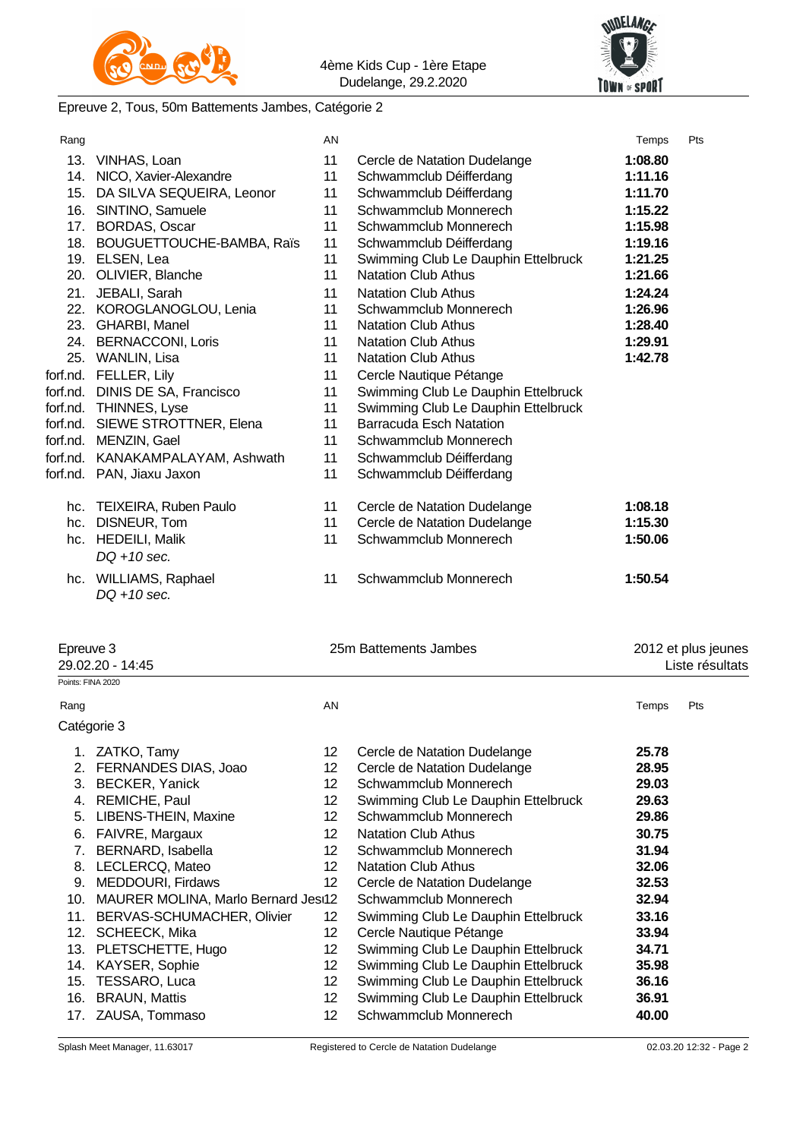



#### Epreuve 2, Tous, 50m Battements Jambes, Catégorie 2

| Rang      |                                         | AN              |                                     | Temps   | Pts                                    |
|-----------|-----------------------------------------|-----------------|-------------------------------------|---------|----------------------------------------|
|           | 13. VINHAS, Loan                        | 11              | Cercle de Natation Dudelange        | 1:08.80 |                                        |
|           | 14. NICO, Xavier-Alexandre              | 11              | Schwammclub Déifferdang             | 1:11.16 |                                        |
|           | 15. DA SILVA SEQUEIRA, Leonor           | 11              | Schwammclub Déifferdang             | 1:11.70 |                                        |
|           | 16. SINTINO, Samuele                    | 11              | Schwammclub Monnerech               | 1:15.22 |                                        |
|           | 17. BORDAS, Oscar                       | 11              | Schwammclub Monnerech               | 1:15.98 |                                        |
|           | 18. BOUGUETTOUCHE-BAMBA, Raïs           | 11              | Schwammclub Déifferdang             | 1:19.16 |                                        |
|           | 19. ELSEN, Lea                          | 11              | Swimming Club Le Dauphin Ettelbruck | 1:21.25 |                                        |
|           | 20. OLIVIER, Blanche                    | 11              | <b>Natation Club Athus</b>          | 1:21.66 |                                        |
|           | 21. JEBALI, Sarah                       | 11              | <b>Natation Club Athus</b>          | 1:24.24 |                                        |
|           | 22. KOROGLANOGLOU, Lenia                | 11              | Schwammclub Monnerech               | 1:26.96 |                                        |
|           | 23. GHARBI, Manel                       | 11              | <b>Natation Club Athus</b>          | 1:28.40 |                                        |
|           | 24. BERNACCONI, Loris                   | 11              | <b>Natation Club Athus</b>          | 1:29.91 |                                        |
|           | 25. WANLIN, Lisa                        | 11              | <b>Natation Club Athus</b>          | 1:42.78 |                                        |
|           | forf.nd. FELLER, Lily                   | 11              | Cercle Nautique Pétange             |         |                                        |
|           | forf.nd. DINIS DE SA, Francisco         | 11              | Swimming Club Le Dauphin Ettelbruck |         |                                        |
|           | forf.nd. THINNES, Lyse                  | 11              | Swimming Club Le Dauphin Ettelbruck |         |                                        |
|           | forf.nd. SIEWE STROTTNER, Elena         | 11              | <b>Barracuda Esch Natation</b>      |         |                                        |
|           | forf.nd. MENZIN, Gael                   | 11              | Schwammclub Monnerech               |         |                                        |
|           | forf.nd. KANAKAMPALAYAM, Ashwath        | 11              | Schwammclub Déifferdang             |         |                                        |
|           | forf.nd. PAN, Jiaxu Jaxon               | 11              | Schwammclub Déifferdang             |         |                                        |
|           | hc. TEIXEIRA, Ruben Paulo               | 11              | Cercle de Natation Dudelange        | 1:08.18 |                                        |
|           | hc. DISNEUR, Tom                        | 11              | Cercle de Natation Dudelange        | 1:15.30 |                                        |
|           | hc. HEDEILI, Malik                      | 11              | Schwammclub Monnerech               | 1:50.06 |                                        |
|           | $DQ + 10$ sec.                          |                 |                                     |         |                                        |
|           | hc. WILLIAMS, Raphael<br>$DO + 10$ sec. | 11              | Schwammclub Monnerech               | 1:50.54 |                                        |
| Epreuve 3 | 29.02.20 - 14:45                        |                 | 25m Battements Jambes               |         | 2012 et plus jeunes<br>Liste résultats |
|           | Points: FINA 2020                       |                 |                                     |         |                                        |
| Rang      |                                         | AN              |                                     | Temps   | Pts                                    |
|           | Catégorie 3                             |                 |                                     |         |                                        |
|           | 1. ZATKO, Tamy                          | 12 <sup>2</sup> | Cercle de Natation Dudelange        | 25.78   |                                        |
|           | 2. FERNANDES DIAS, Joao                 | 12              | Cercle de Natation Dudelange        | 28.95   |                                        |
|           | 3. BECKER, Yanick                       | 12 <sup>2</sup> | Schwammclub Monnerech               | 29.03   |                                        |
|           | 4. REMICHE, Paul                        | 12              | Swimming Club Le Dauphin Ettelbruck | 29.63   |                                        |

5. LIBENS-THEIN, Maxine 12 Schwammclub Monnerech **29.86** 6. FAIVRE, Margaux 12 Natation Club Athus **30.75** 7. BERNARD, Isabella 12 Schwammclub Monnerech **31.94** 8. LECLERCQ, Mateo 12 Natation Club Athus **32.06** 9. MEDDOURI, Firdaws 12 Cercle de Natation Dudelange **32.53** 10. MAURER MOLINA, Marlo Bernard Jesus12 Schwammclub Monnerech **32.94** 11. BERVAS-SCHUMACHER, Olivier 12 Swimming Club Le Dauphin Ettelbruck **33.16**

13. PLETSCHETTE, Hugo 12 Swimming Club Le Dauphin Ettelbruck **34.71** 14. KAYSER, Sophie 12 Swimming Club Le Dauphin Ettelbruck **35.98** 15. TESSARO, Luca 12 Swimming Club Le Dauphin Ettelbruck **36.16** 16. BRAUN, Mattis 12 Swimming Club Le Dauphin Ettelbruck **36.91** 17. ZAUSA, Tommaso 12 Schwammclub Monnerech **40.00**

12. SCHEECK, Mika 12 Cercle Nautique Pétange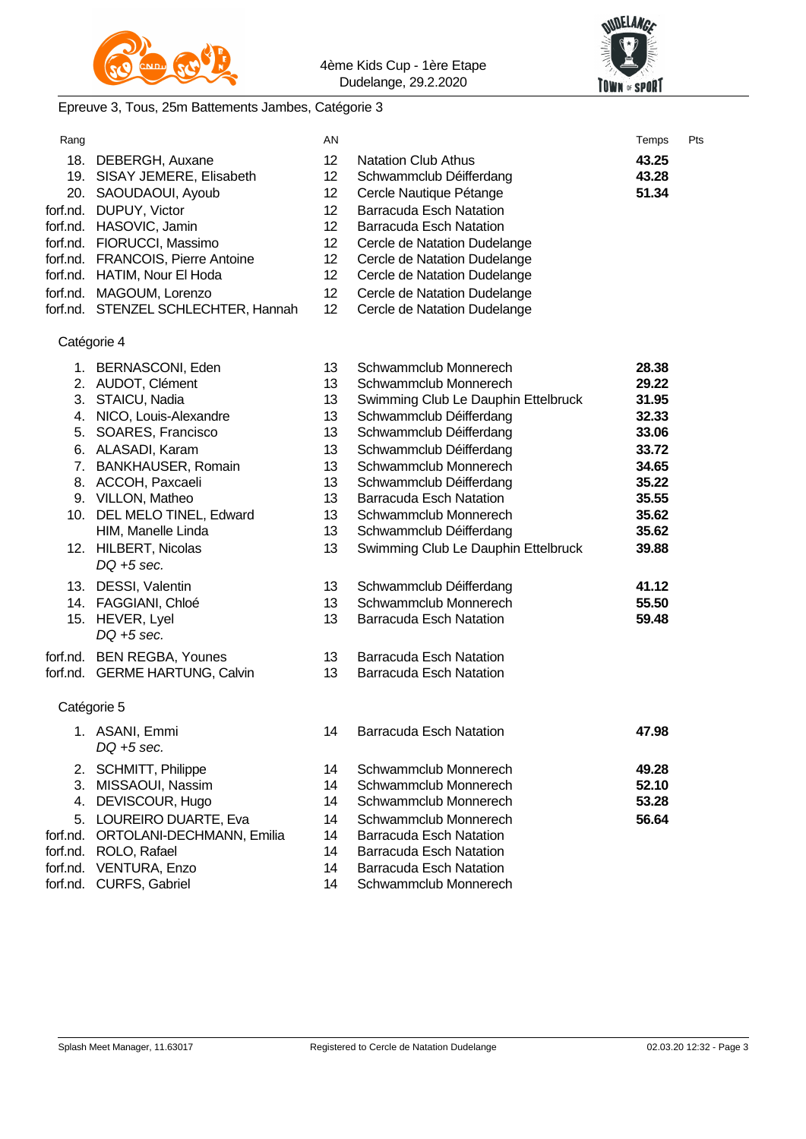



# Epreuve 3, Tous, 25m Battements Jambes, Catégorie 3

| Rang     |                                       | AN              |                                     | Temps | Pts |
|----------|---------------------------------------|-----------------|-------------------------------------|-------|-----|
|          | 18. DEBERGH, Auxane                   | 12              | <b>Natation Club Athus</b>          | 43.25 |     |
|          | 19. SISAY JEMERE, Elisabeth           | 12 <sup>°</sup> | Schwammclub Déifferdang             | 43.28 |     |
|          | 20. SAOUDAOUI, Ayoub                  | 12 <sup>°</sup> | Cercle Nautique Pétange             | 51.34 |     |
|          | forf.nd. DUPUY, Victor                | 12 <sup>2</sup> | <b>Barracuda Esch Natation</b>      |       |     |
|          | forf.nd. HASOVIC, Jamin               | 12              | <b>Barracuda Esch Natation</b>      |       |     |
|          | forf.nd. FIORUCCI, Massimo            | 12              | Cercle de Natation Dudelange        |       |     |
|          | forf.nd. FRANCOIS, Pierre Antoine     | 12 <sup>°</sup> | Cercle de Natation Dudelange        |       |     |
|          | forf.nd. HATIM, Nour El Hoda          | 12 <sup>°</sup> | Cercle de Natation Dudelange        |       |     |
|          | forf.nd. MAGOUM, Lorenzo              | 12 <sub>2</sub> | Cercle de Natation Dudelange        |       |     |
|          | forf.nd. STENZEL SCHLECHTER, Hannah   | 12              | Cercle de Natation Dudelange        |       |     |
|          | Catégorie 4                           |                 |                                     |       |     |
|          | 1. BERNASCONI, Eden                   | 13              | Schwammclub Monnerech               | 28.38 |     |
|          | 2. AUDOT, Clément                     | 13              | Schwammclub Monnerech               | 29.22 |     |
|          | 3. STAICU, Nadia                      | 13              | Swimming Club Le Dauphin Ettelbruck | 31.95 |     |
|          | 4. NICO, Louis-Alexandre              | 13              | Schwammclub Déifferdang             | 32.33 |     |
|          | 5. SOARES, Francisco                  | 13              | Schwammclub Déifferdang             | 33.06 |     |
|          | 6. ALASADI, Karam                     | 13              | Schwammclub Déifferdang             | 33.72 |     |
|          | 7. BANKHAUSER, Romain                 | 13              | Schwammclub Monnerech               | 34.65 |     |
|          | 8. ACCOH, Paxcaeli                    | 13              | Schwammclub Déifferdang             | 35.22 |     |
|          | 9. VILLON, Matheo                     | 13              | <b>Barracuda Esch Natation</b>      | 35.55 |     |
|          | 10. DEL MELO TINEL, Edward            | 13              | Schwammclub Monnerech               | 35.62 |     |
|          | HIM, Manelle Linda                    | 13              | Schwammclub Déifferdang             | 35.62 |     |
|          | 12. HILBERT, Nicolas<br>$DQ + 5$ sec. | 13              | Swimming Club Le Dauphin Ettelbruck | 39.88 |     |
|          | 13. DESSI, Valentin                   | 13              | Schwammclub Déifferdang             | 41.12 |     |
|          | 14. FAGGIANI, Chloé                   | 13              | Schwammclub Monnerech               | 55.50 |     |
|          | 15. HEVER, Lyel                       | 13              | <b>Barracuda Esch Natation</b>      | 59.48 |     |
|          | $DQ + 5$ sec.                         |                 |                                     |       |     |
|          | forf.nd. BEN REGBA, Younes            | 13              | <b>Barracuda Esch Natation</b>      |       |     |
|          | forf.nd. GERME HARTUNG, Calvin        | 13              | <b>Barracuda Esch Natation</b>      |       |     |
|          | Catégorie 5                           |                 |                                     |       |     |
|          | 1. ASANI, Emmi<br>$DQ + 5$ sec.       | 14              | <b>Barracuda Esch Natation</b>      | 47.98 |     |
| 2.       | SCHMITT, Philippe                     | 14              | Schwammclub Monnerech               | 49.28 |     |
| 3.       | MISSAOUI, Nassim                      | 14              | Schwammclub Monnerech               | 52.10 |     |
| 4.       | DEVISCOUR, Hugo                       | 14              | Schwammclub Monnerech               | 53.28 |     |
| 5.       | LOUREIRO DUARTE, Eva                  | 14              | Schwammclub Monnerech               | 56.64 |     |
| forf.nd. | ORTOLANI-DECHMANN, Emilia             | 14              | <b>Barracuda Esch Natation</b>      |       |     |
| forf.nd. | ROLO, Rafael                          | 14              | <b>Barracuda Esch Natation</b>      |       |     |
| forf.nd. | VENTURA, Enzo                         | 14              | <b>Barracuda Esch Natation</b>      |       |     |
| forf.nd. | <b>CURFS, Gabriel</b>                 | 14              | Schwammclub Monnerech               |       |     |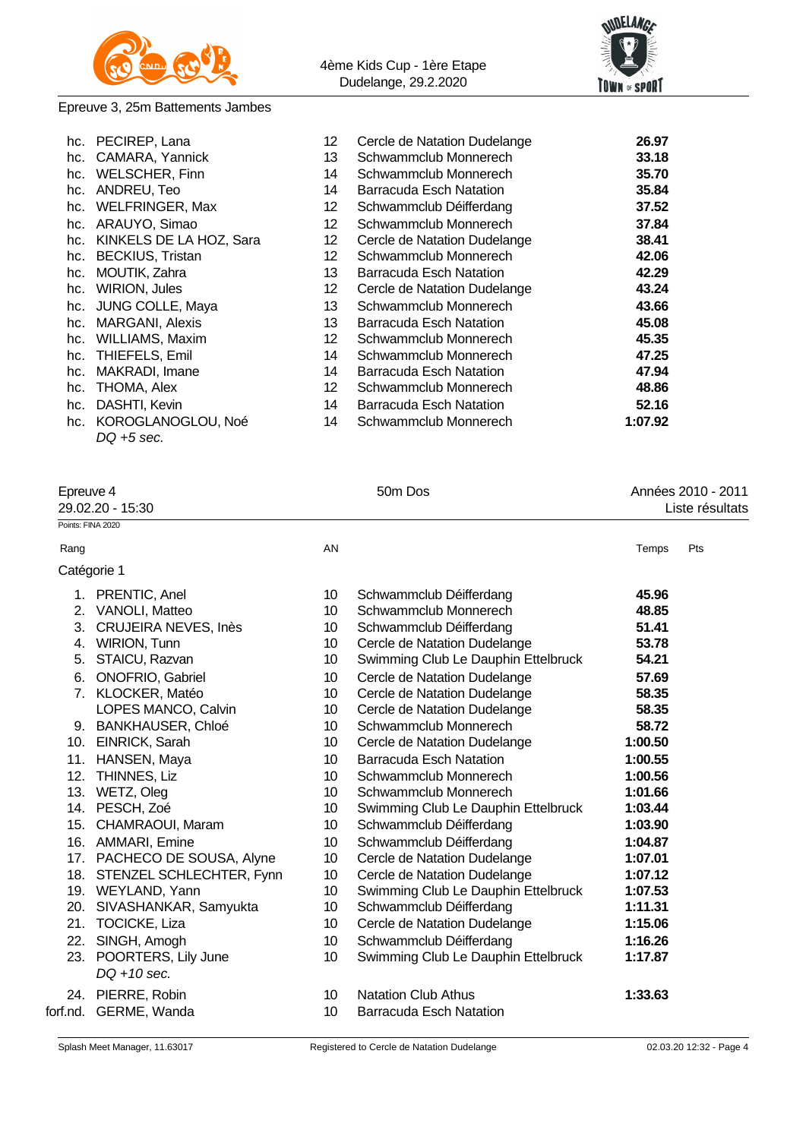



### Epreuve 3, 25m Battements Jambes

| hc. PECIREP, Lana           | 12              | Cercle de Natation Dudelange | 26.97   |
|-----------------------------|-----------------|------------------------------|---------|
| hc. CAMARA, Yannick         | 13              | Schwammclub Monnerech        | 33.18   |
| hc. WELSCHER, Finn          | 14              | Schwammclub Monnerech        | 35.70   |
| hc. ANDREU, Teo             | 14              | Barracuda Esch Natation      | 35.84   |
| hc. WELFRINGER, Max         | 12              | Schwammclub Déifferdang      | 37.52   |
| hc. ARAUYO, Simao           | 12              | Schwammclub Monnerech        | 37.84   |
| hc. KINKELS DE LA HOZ, Sara | 12 <sup>°</sup> | Cercle de Natation Dudelange | 38.41   |
| hc. BECKIUS, Tristan        | 12              | Schwammclub Monnerech        | 42.06   |
| hc. MOUTIK, Zahra           | 13              | Barracuda Esch Natation      | 42.29   |
| hc. WIRION, Jules           | 12              | Cercle de Natation Dudelange | 43.24   |
| hc. JUNG COLLE, Maya        | 13              | Schwammclub Monnerech        | 43.66   |
| hc. MARGANI, Alexis         | 13              | Barracuda Esch Natation      | 45.08   |
| hc. WILLIAMS, Maxim         | 12 <sup>°</sup> | Schwammclub Monnerech        | 45.35   |
| hc. THIEFELS, Emil          | 14              | Schwammclub Monnerech        | 47.25   |
| hc. MAKRADI, Imane          | 14              | Barracuda Esch Natation      | 47.94   |
| hc. THOMA, Alex             | 12              | Schwammclub Monnerech        | 48.86   |
| hc. DASHTI, Kevin           | 14              | Barracuda Esch Natation      | 52.16   |
| hc. KOROGLANOGLOU, Noé      | 14              | Schwammclub Monnerech        | 1:07.92 |
| $DQ + 5$ sec.               |                 |                              |         |

| Epreuve 4<br>29.02.20 - 15:30 | 50m Dos | Années 2010 - 2011<br>Liste résultats |
|-------------------------------|---------|---------------------------------------|
| Points: FINA 2020             |         |                                       |
| Rang                          | AN      | Pts<br>Temps                          |
| Catégorie 1                   |         |                                       |

|          | 1. PRENTIC, Anel                          | 10 <sup>°</sup>  | Schwammclub Déifferdang             | 45.96   |
|----------|-------------------------------------------|------------------|-------------------------------------|---------|
|          | 2. VANOLI, Matteo                         | 10 <sup>°</sup>  | Schwammclub Monnerech               | 48.85   |
|          | 3. CRUJEIRA NEVES, Inès                   | 10               | Schwammclub Déifferdang             | 51.41   |
| 4.       | <b>WIRION, Tunn</b>                       | 10               | Cercle de Natation Dudelange        | 53.78   |
| 5.       | STAICU, Razvan                            | 10 <sup>°</sup>  | Swimming Club Le Dauphin Ettelbruck | 54.21   |
|          | 6. ONOFRIO, Gabriel                       | 10               | Cercle de Natation Dudelange        | 57.69   |
|          | 7. KLOCKER, Matéo                         | 10               | Cercle de Natation Dudelange        | 58.35   |
|          | LOPES MANCO, Calvin                       | 10               | Cercle de Natation Dudelange        | 58.35   |
|          | 9. BANKHAUSER, Chloé                      | 10               | Schwammclub Monnerech               | 58.72   |
| 10.      | EINRICK, Sarah                            | 10 <sup>°</sup>  | Cercle de Natation Dudelange        | 1:00.50 |
|          | 11. HANSEN, Maya                          | 10               | Barracuda Esch Natation             | 1:00.55 |
|          | 12. THINNES, Liz                          | 10 <sup>°</sup>  | Schwammclub Monnerech               | 1:00.56 |
|          | 13. WETZ, Oleg                            | 10               | Schwammclub Monnerech               | 1:01.66 |
|          | 14. PESCH, Zoé                            | 10 <sup>°</sup>  | Swimming Club Le Dauphin Ettelbruck | 1:03.44 |
| 15.      | CHAMRAOUI, Maram                          | 10 <sup>°</sup>  | Schwammclub Déifferdang             | 1:03.90 |
|          | 16. AMMARI, Emine                         | 10 <sup>°</sup>  | Schwammclub Déifferdang             | 1:04.87 |
|          | 17. PACHECO DE SOUSA, Alyne               | 10 <sup>°</sup>  | Cercle de Natation Dudelange        | 1:07.01 |
|          | 18. STENZEL SCHLECHTER, Fynn              | 10               | Cercle de Natation Dudelange        | 1:07.12 |
|          | 19. WEYLAND, Yann                         | 10 <sup>°</sup>  | Swimming Club Le Dauphin Ettelbruck | 1:07.53 |
|          | 20. SIVASHANKAR, Samyukta                 | 10 <sup>°</sup>  | Schwammclub Déifferdang             | 1:11.31 |
|          | 21. TOCICKE, Liza                         | 10               | Cercle de Natation Dudelange        | 1:15.06 |
|          | 22. SINGH, Amogh                          | 10 <sup>°</sup>  | Schwammclub Déifferdang             | 1:16.26 |
|          | 23. POORTERS, Lily June<br>$DQ + 10$ sec. | 10               | Swimming Club Le Dauphin Ettelbruck | 1:17.87 |
|          | 24. PIERRE, Robin                         | 10               | <b>Natation Club Athus</b>          | 1:33.63 |
| forf.nd. | GERME, Wanda                              | 10 <sup>10</sup> | <b>Barracuda Esch Natation</b>      |         |
|          |                                           |                  |                                     |         |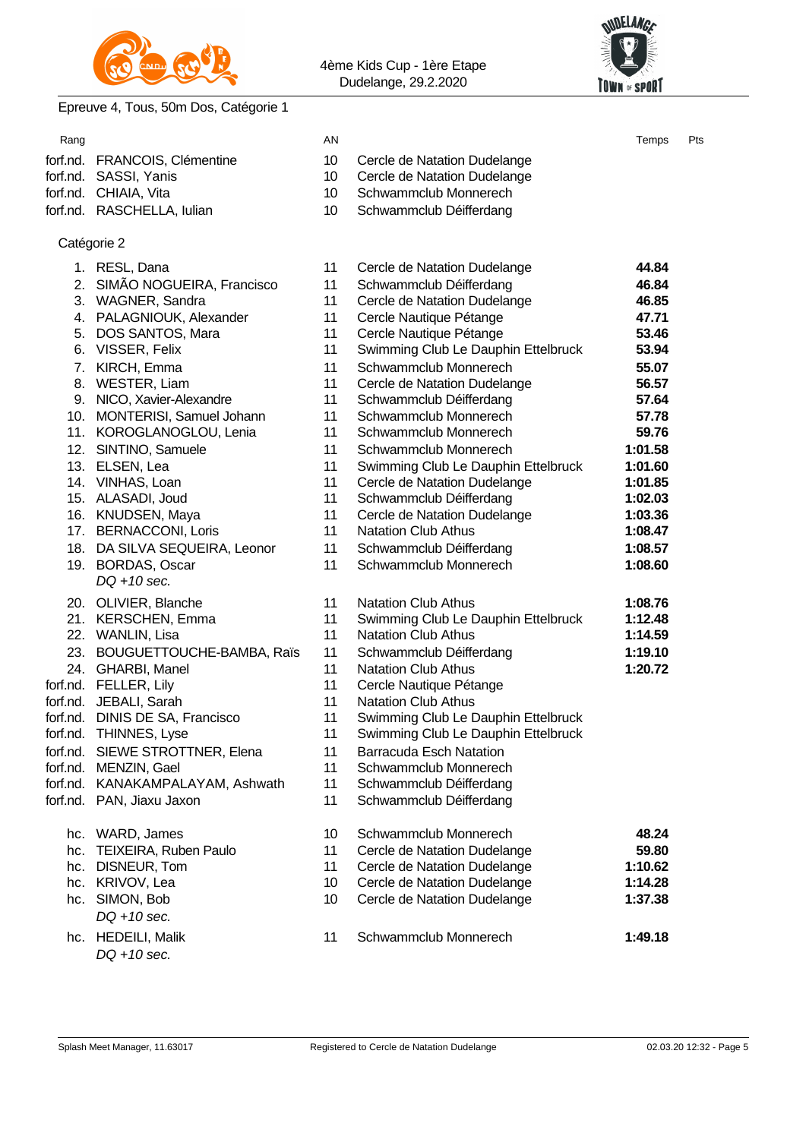



# Epreuve 4, Tous, 50m Dos, Catégorie 1

| Rang |                                  | AN              |                                     | Temps   | Pts |
|------|----------------------------------|-----------------|-------------------------------------|---------|-----|
|      | forf.nd. FRANCOIS, Clémentine    | 10              | Cercle de Natation Dudelange        |         |     |
|      | forf.nd. SASSI, Yanis            | 10              | Cercle de Natation Dudelange        |         |     |
|      | forf.nd. CHIAIA, Vita            | 10 <sup>°</sup> | Schwammclub Monnerech               |         |     |
|      | forf.nd. RASCHELLA, lulian       | 10              | Schwammclub Déifferdang             |         |     |
|      | Catégorie 2                      |                 |                                     |         |     |
|      | 1. RESL, Dana                    | 11              | Cercle de Natation Dudelange        | 44.84   |     |
|      | 2. SIMÃO NOGUEIRA, Francisco     | 11              | Schwammclub Déifferdang             | 46.84   |     |
|      | 3. WAGNER, Sandra                | 11              | Cercle de Natation Dudelange        | 46.85   |     |
|      | 4. PALAGNIOUK, Alexander         | 11              | Cercle Nautique Pétange             | 47.71   |     |
|      | 5. DOS SANTOS, Mara              | 11              | Cercle Nautique Pétange             | 53.46   |     |
|      | 6. VISSER, Felix                 | 11              | Swimming Club Le Dauphin Ettelbruck | 53.94   |     |
|      | 7. KIRCH, Emma                   | 11              | Schwammclub Monnerech               | 55.07   |     |
|      | 8. WESTER, Liam                  | 11              | Cercle de Natation Dudelange        | 56.57   |     |
|      | 9. NICO, Xavier-Alexandre        | 11              | Schwammclub Déifferdang             | 57.64   |     |
|      | 10. MONTERISI, Samuel Johann     | 11              | Schwammclub Monnerech               | 57.78   |     |
|      | 11. KOROGLANOGLOU, Lenia         | 11              | Schwammclub Monnerech               | 59.76   |     |
|      | 12. SINTINO, Samuele             | 11              | Schwammclub Monnerech               | 1:01.58 |     |
|      | 13. ELSEN, Lea                   | 11              | Swimming Club Le Dauphin Ettelbruck | 1:01.60 |     |
|      | 14. VINHAS, Loan                 | 11              | Cercle de Natation Dudelange        | 1:01.85 |     |
|      | 15. ALASADI, Joud                | 11              | Schwammclub Déifferdang             | 1:02.03 |     |
|      | 16. KNUDSEN, Maya                | 11              | Cercle de Natation Dudelange        | 1:03.36 |     |
|      | 17. BERNACCONI, Loris            | 11              | <b>Natation Club Athus</b>          | 1:08.47 |     |
|      | 18. DA SILVA SEQUEIRA, Leonor    | 11              | Schwammclub Déifferdang             | 1:08.57 |     |
|      | 19. BORDAS, Oscar                | 11              | Schwammclub Monnerech               | 1:08.60 |     |
|      | $DQ + 10$ sec.                   |                 |                                     |         |     |
|      | 20. OLIVIER, Blanche             | 11              | <b>Natation Club Athus</b>          | 1:08.76 |     |
|      | 21. KERSCHEN, Emma               | 11              | Swimming Club Le Dauphin Ettelbruck | 1:12.48 |     |
|      | 22. WANLIN, Lisa                 | 11              | <b>Natation Club Athus</b>          | 1:14.59 |     |
|      | 23. BOUGUETTOUCHE-BAMBA, Raïs    | 11              | Schwammclub Déifferdang             | 1:19.10 |     |
|      | 24. GHARBI, Manel                | 11              | <b>Natation Club Athus</b>          | 1:20.72 |     |
|      | forf.nd. FELLER, Lily            | 11              | Cercle Nautique Pétange             |         |     |
|      | forf.nd. JEBALI, Sarah           | 11              | <b>Natation Club Athus</b>          |         |     |
|      | forf.nd. DINIS DE SA, Francisco  | 11              | Swimming Club Le Dauphin Ettelbruck |         |     |
|      | forf.nd. THINNES, Lyse           | 11              | Swimming Club Le Dauphin Ettelbruck |         |     |
|      | forf.nd. SIEWE STROTTNER, Elena  | 11              | <b>Barracuda Esch Natation</b>      |         |     |
|      | forf.nd. MENZIN, Gael            | 11              | Schwammclub Monnerech               |         |     |
|      | forf.nd. KANAKAMPALAYAM, Ashwath | 11              | Schwammclub Déifferdang             |         |     |
|      | forf.nd. PAN, Jiaxu Jaxon        | 11              | Schwammclub Déifferdang             |         |     |
|      | hc. WARD, James                  | 10              | Schwammclub Monnerech               | 48.24   |     |
| hc.  | TEIXEIRA, Ruben Paulo            | 11              | Cercle de Natation Dudelange        | 59.80   |     |
| hc.  | DISNEUR, Tom                     | 11              | Cercle de Natation Dudelange        | 1:10.62 |     |
|      | hc. KRIVOV, Lea                  | 10              | Cercle de Natation Dudelange        | 1:14.28 |     |
| hc.  | SIMON, Bob                       | 10              | Cercle de Natation Dudelange        | 1:37.38 |     |
|      | $DQ + 10$ sec.                   |                 |                                     |         |     |
|      | hc. HEDEILI, Malik               | 11              | Schwammclub Monnerech               | 1:49.18 |     |
|      | DQ +10 sec.                      |                 |                                     |         |     |
|      |                                  |                 |                                     |         |     |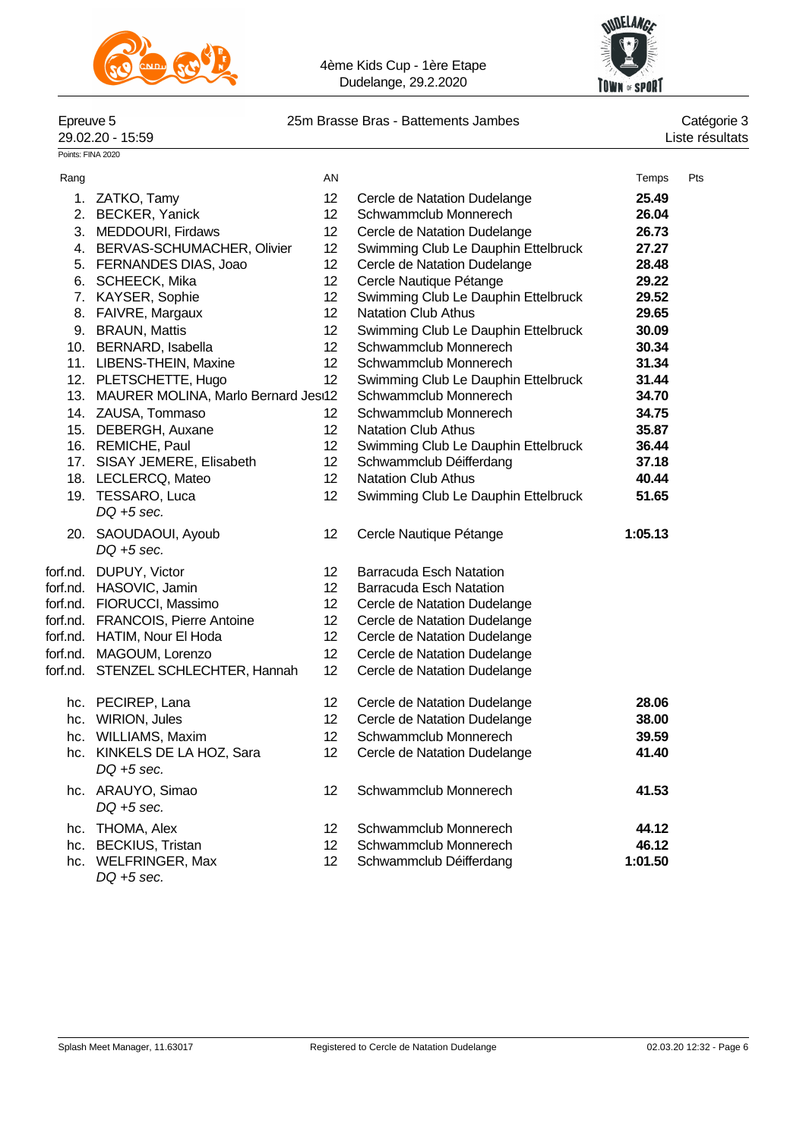



# 25m Brasse Bras - Battements Jambes<br>Liste résultats

Epreuve 5<br>29.02.20 - 15:59

Points: FINA 2020

| Rang |                                         | AN              |                                     | Temps   | Pts |
|------|-----------------------------------------|-----------------|-------------------------------------|---------|-----|
|      | 1. ZATKO, Tamy                          | 12 <sup>2</sup> | Cercle de Natation Dudelange        | 25.49   |     |
|      | 2. BECKER, Yanick                       | 12 <sup>2</sup> | Schwammclub Monnerech               | 26.04   |     |
|      | 3. MEDDOURI, Firdaws                    | 12 <sup>2</sup> | Cercle de Natation Dudelange        | 26.73   |     |
|      | 4. BERVAS-SCHUMACHER, Olivier           | 12              | Swimming Club Le Dauphin Ettelbruck | 27.27   |     |
|      | 5. FERNANDES DIAS, Joao                 | 12              | Cercle de Natation Dudelange        | 28.48   |     |
|      | 6. SCHEECK, Mika                        | 12 <sub>2</sub> | Cercle Nautique Pétange             | 29.22   |     |
|      | 7. KAYSER, Sophie                       | 12 <sub>2</sub> | Swimming Club Le Dauphin Ettelbruck | 29.52   |     |
|      | 8. FAIVRE, Margaux                      | 12              | <b>Natation Club Athus</b>          | 29.65   |     |
|      | 9. BRAUN, Mattis                        | 12              | Swimming Club Le Dauphin Ettelbruck | 30.09   |     |
|      | 10. BERNARD, Isabella                   | 12              | Schwammclub Monnerech               | 30.34   |     |
|      | 11. LIBENS-THEIN, Maxine                | 12              | Schwammclub Monnerech               | 31.34   |     |
|      | 12. PLETSCHETTE, Hugo                   | 12              | Swimming Club Le Dauphin Ettelbruck | 31.44   |     |
|      | 13. MAURER MOLINA, Marlo Bernard Jesi12 |                 | Schwammclub Monnerech               | 34.70   |     |
|      | 14. ZAUSA, Tommaso                      | 12              | Schwammclub Monnerech               | 34.75   |     |
|      | 15. DEBERGH, Auxane                     | 12              | <b>Natation Club Athus</b>          | 35.87   |     |
|      | 16. REMICHE, Paul                       | 12              | Swimming Club Le Dauphin Ettelbruck | 36.44   |     |
|      | 17. SISAY JEMERE, Elisabeth             | 12 <sup>2</sup> | Schwammclub Déifferdang             | 37.18   |     |
|      | 18. LECLERCQ, Mateo                     | 12 <sup>2</sup> | <b>Natation Club Athus</b>          | 40.44   |     |
|      | 19. TESSARO, Luca                       | 12              | Swimming Club Le Dauphin Ettelbruck | 51.65   |     |
|      | $DQ + 5$ sec.                           |                 |                                     |         |     |
|      | 20. SAOUDAOUI, Ayoub                    | 12              | Cercle Nautique Pétange             | 1:05.13 |     |
|      | $DQ + 5$ sec.                           |                 |                                     |         |     |
|      | forf.nd. DUPUY, Victor                  | 12 <sup>2</sup> | <b>Barracuda Esch Natation</b>      |         |     |
|      | forf.nd. HASOVIC, Jamin                 | 12 <sup>2</sup> | <b>Barracuda Esch Natation</b>      |         |     |
|      | forf.nd. FIORUCCI, Massimo              | 12 <sub>2</sub> | Cercle de Natation Dudelange        |         |     |
|      | forf.nd. FRANCOIS, Pierre Antoine       | 12              | Cercle de Natation Dudelange        |         |     |
|      | forf.nd. HATIM, Nour El Hoda            | 12              | Cercle de Natation Dudelange        |         |     |
|      | forf.nd. MAGOUM, Lorenzo                | 12 <sup>2</sup> | Cercle de Natation Dudelange        |         |     |
|      | forf.nd. STENZEL SCHLECHTER, Hannah     | 12              | Cercle de Natation Dudelange        |         |     |
|      |                                         |                 |                                     |         |     |
|      | hc. PECIREP, Lana                       | 12 <sup>2</sup> | Cercle de Natation Dudelange        | 28.06   |     |
|      | hc. WIRION, Jules                       | 12 <sub>2</sub> | Cercle de Natation Dudelange        | 38.00   |     |
|      | hc. WILLIAMS, Maxim                     | 12              | Schwammclub Monnerech               | 39.59   |     |
|      | hc. KINKELS DE LA HOZ, Sara             | 12              | Cercle de Natation Dudelange        | 41.40   |     |
|      | $DQ + 5$ sec.                           |                 |                                     |         |     |
|      |                                         | 12              | Schwammclub Monnerech               | 41.53   |     |
|      | hc. ARAUYO, Simao<br>$DQ + 5$ sec.      |                 |                                     |         |     |
|      |                                         |                 |                                     |         |     |
|      | hc. THOMA, Alex                         | 12 <sup>°</sup> | Schwammclub Monnerech               | 44.12   |     |
| hc.  | <b>BECKIUS, Tristan</b>                 | 12 <sup>°</sup> | Schwammclub Monnerech               | 46.12   |     |
|      | hc. WELFRINGER, Max                     | 12 <sup>°</sup> | Schwammclub Déifferdang             | 1:01.50 |     |
|      | $DQ + 5$ sec.                           |                 |                                     |         |     |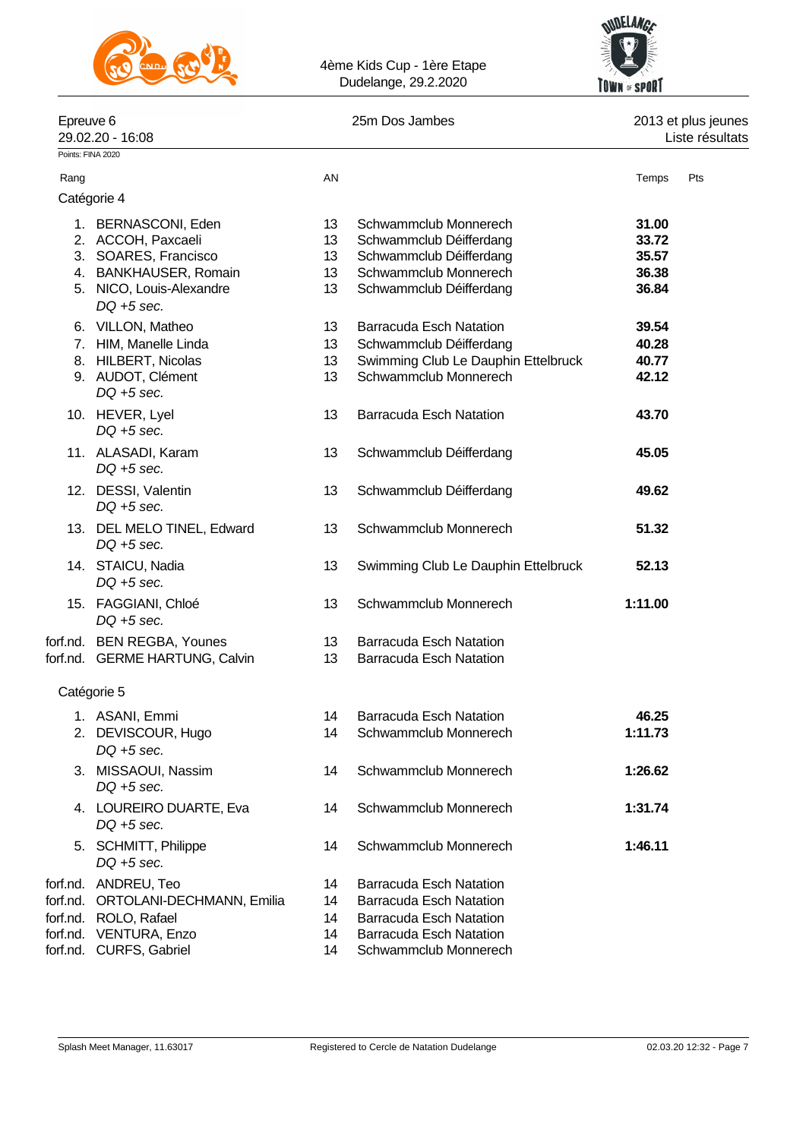



| Epreuve 6<br>29.02.20 - 16:08   |    | 25m Dos Jambes                 | 2013 et plus jeunes<br>Liste résultats |
|---------------------------------|----|--------------------------------|----------------------------------------|
| Points: FINA 2020               |    |                                |                                        |
| Rang                            | AN |                                | Pts<br>Temps                           |
| Catégorie 4                     |    |                                |                                        |
| BERNASCONI, Eden                | 13 | Schwammclub Monnerech          | 31.00                                  |
| ACCOH, Paxcaeli<br>2.           | 13 | Schwammclub Déifferdang        | 33.72                                  |
| SOARES, Francisco<br>3.         | 13 | Schwammclub Déifferdang        | 35.57                                  |
| <b>BANKHAUSER, Romain</b><br>4. | 13 | Schwammclub Monnerech          | 36.38                                  |
| NICO, Louis-Alexandre<br>5.     | 13 | Schwammclub Déifferdang        | 36.84                                  |
| $DQ + 5$ sec.                   |    |                                |                                        |
| VILLON, Matheo<br>6.            | 13 | <b>Barracuda Esch Natation</b> | 39.54                                  |
|                                 |    |                                |                                        |

| 6. VILLON, Matheo                           | 13 | Barracuda Esch Natation             | 39.54   |
|---------------------------------------------|----|-------------------------------------|---------|
| 7. HIM, Manelle Linda                       | 13 | Schwammclub Déifferdang             | 40.28   |
| 8. HILBERT, Nicolas                         | 13 | Swimming Club Le Dauphin Ettelbruck | 40.77   |
| 9. AUDOT, Clément<br>$DQ + 5$ sec.          | 13 | Schwammclub Monnerech               | 42.12   |
| 10. HEVER, Lyel<br>$DQ + 5$ sec.            | 13 | <b>Barracuda Esch Natation</b>      | 43.70   |
| 11. ALASADI, Karam<br>$DQ + 5$ sec.         | 13 | Schwammclub Déifferdang             | 45.05   |
| 12. DESSI, Valentin<br>$DQ + 5$ sec.        | 13 | Schwammclub Déifferdang             | 49.62   |
| 13. DEL MELO TINEL, Edward<br>$DO + 5 sec.$ | 13 | Schwammclub Monnerech               | 51.32   |
| 14. STAICU, Nadia<br>$DQ + 5$ sec.          | 13 | Swimming Club Le Dauphin Ettelbruck | 52.13   |
| 15. FAGGIANI, Chloé<br>$DQ + 5$ sec.        | 13 | Schwammclub Monnerech               | 1:11.00 |
| forf.nd. BEN REGBA, Younes                  | 13 | <b>Barracuda Esch Natation</b>      |         |
| forf.nd. GERME HARTUNG, Calvin              | 13 | <b>Barracuda Esch Natation</b>      |         |
| Catégorie 5                                 |    |                                     |         |
| 1. ASANI, Emmi                              | 14 | <b>Barracuda Esch Natation</b>      | 46.25   |
| 2. DEVISCOUR, Hugo<br>$DQ + 5$ sec.         | 14 | Schwammclub Monnerech               | 1:11.73 |
| 3. MISSAOUI, Nassim<br>$DQ + 5$ sec.        | 14 | Schwammclub Monnerech               | 1:26.62 |
| 4. LOUREIRO DUARTE, Eva<br>$DQ + 5$ sec.    | 14 | Schwammclub Monnerech               | 1:31.74 |
| 5. SCHMITT, Philippe<br>$DQ + 5$ sec.       | 14 | Schwammclub Monnerech               | 1:46.11 |
| forf.nd. ANDREU, Teo                        | 14 | <b>Barracuda Esch Natation</b>      |         |
| forf.nd. ORTOLANI-DECHMANN, Emilia          | 14 | <b>Barracuda Esch Natation</b>      |         |
| forf.nd. ROLO, Rafael                       | 14 | <b>Barracuda Esch Natation</b>      |         |
| forf.nd. VENTURA, Enzo                      | 14 | <b>Barracuda Esch Natation</b>      |         |
| forf.nd. CURFS, Gabriel                     | 14 | Schwammclub Monnerech               |         |